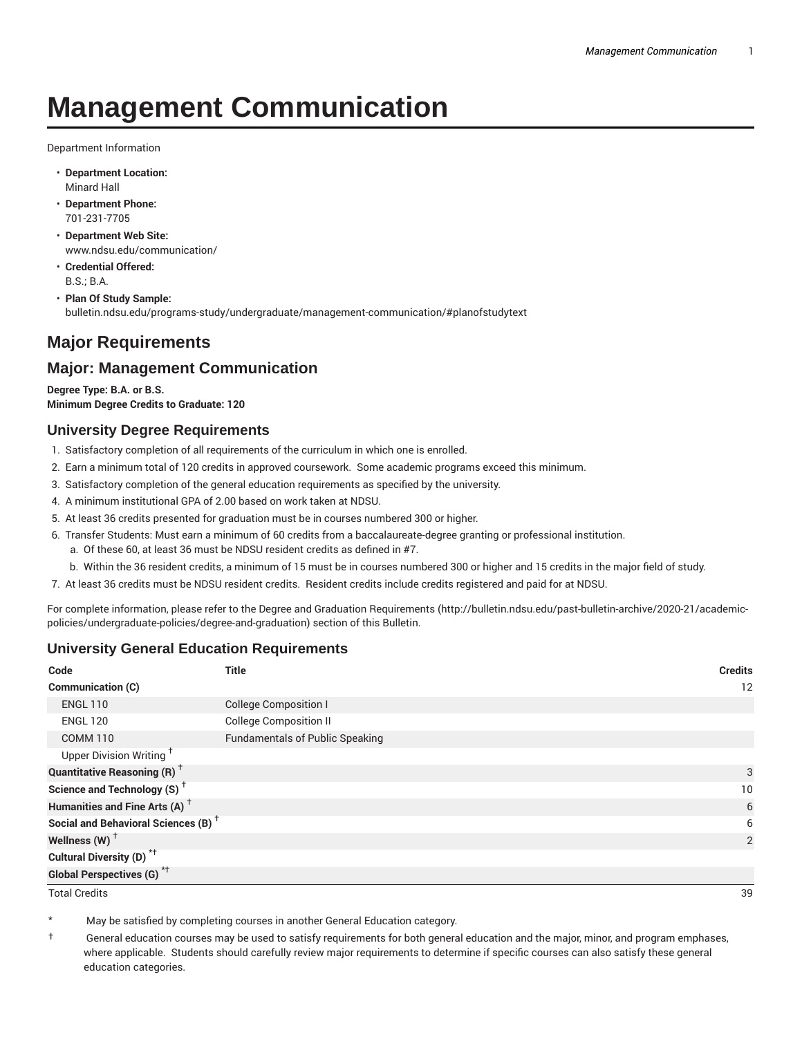# **Management Communication**

Department Information

- **Department Location:** Minard Hall
- **Department Phone:** 701-231-7705
- **Department Web Site:** www.ndsu.edu/communication/
- **Credential Offered:** B.S.; B.A.
- **Plan Of Study Sample:** bulletin.ndsu.edu/programs-study/undergraduate/management-communication/#planofstudytext

# **Major Requirements**

# **Major: Management Communication**

**Degree Type: B.A. or B.S. Minimum Degree Credits to Graduate: 120**

#### **University Degree Requirements**

- 1. Satisfactory completion of all requirements of the curriculum in which one is enrolled.
- 2. Earn a minimum total of 120 credits in approved coursework. Some academic programs exceed this minimum.
- 3. Satisfactory completion of the general education requirements as specified by the university.
- 4. A minimum institutional GPA of 2.00 based on work taken at NDSU.
- 5. At least 36 credits presented for graduation must be in courses numbered 300 or higher.
- 6. Transfer Students: Must earn a minimum of 60 credits from a baccalaureate-degree granting or professional institution.
	- a. Of these 60, at least 36 must be NDSU resident credits as defined in #7.
	- b. Within the 36 resident credits, a minimum of 15 must be in courses numbered 300 or higher and 15 credits in the major field of study.
- 7. At least 36 credits must be NDSU resident credits. Resident credits include credits registered and paid for at NDSU.

For complete information, please refer to the Degree and Graduation Requirements (http://bulletin.ndsu.edu/past-bulletin-archive/2020-21/academicpolicies/undergraduate-policies/degree-and-graduation) section of this Bulletin.

## **University General Education Requirements**

| Code                                            | Title                                  | <b>Credits</b>  |
|-------------------------------------------------|----------------------------------------|-----------------|
| Communication (C)                               |                                        | 12              |
| <b>ENGL 110</b>                                 | <b>College Composition I</b>           |                 |
| <b>ENGL 120</b>                                 | <b>College Composition II</b>          |                 |
| <b>COMM 110</b>                                 | <b>Fundamentals of Public Speaking</b> |                 |
| Upper Division Writing <sup>+</sup>             |                                        |                 |
| <b>Quantitative Reasoning (R)</b> <sup>†</sup>  |                                        | 3               |
| Science and Technology (S) <sup>+</sup>         |                                        | 10 <sup>°</sup> |
| Humanities and Fine Arts (A) <sup>+</sup>       |                                        | 6               |
| Social and Behavioral Sciences (B) <sup>+</sup> |                                        | 6               |
| Wellness $(W)$ <sup>+</sup>                     |                                        | 2               |
| Cultural Diversity (D) <sup>*†</sup>            |                                        |                 |
| <b>Global Perspectives (G)<sup>*†</sup></b>     |                                        |                 |

Total Credits 39

May be satisfied by completing courses in another General Education category.

† General education courses may be used to satisfy requirements for both general education and the major, minor, and program emphases, where applicable. Students should carefully review major requirements to determine if specific courses can also satisfy these general education categories.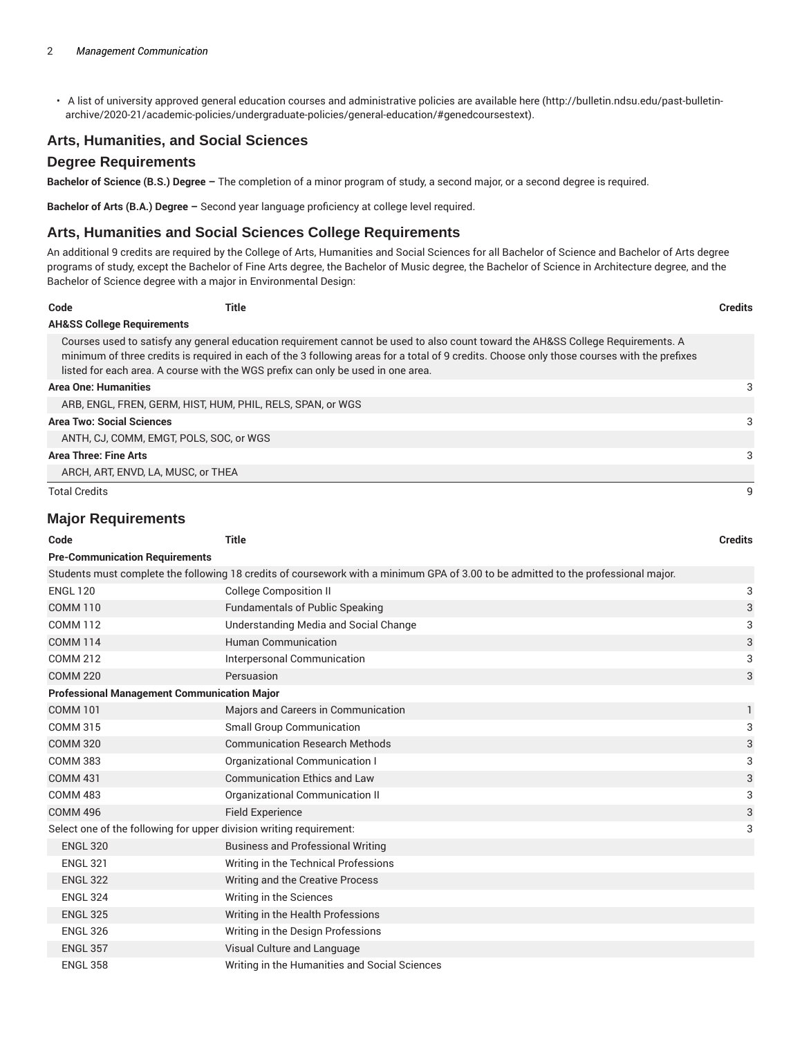• A list of university approved general education courses and administrative policies are available here (http://bulletin.ndsu.edu/past-bulletinarchive/2020-21/academic-policies/undergraduate-policies/general-education/#genedcoursestext).

## **Arts, Humanities, and Social Sciences**

#### **Degree Requirements**

**Bachelor of Science (B.S.) Degree –** The completion of a minor program of study, a second major, or a second degree is required.

**Bachelor of Arts (B.A.) Degree –** Second year language proficiency at college level required.

#### **Arts, Humanities and Social Sciences College Requirements**

An additional 9 credits are required by the College of Arts, Humanities and Social Sciences for all Bachelor of Science and Bachelor of Arts degree programs of study, except the Bachelor of Fine Arts degree, the Bachelor of Music degree, the Bachelor of Science in Architecture degree, and the Bachelor of Science degree with a major in Environmental Design:

| Code                                  | Title                                                                            |                                                                                                                                                                                                                                                                                | <b>Credits</b> |
|---------------------------------------|----------------------------------------------------------------------------------|--------------------------------------------------------------------------------------------------------------------------------------------------------------------------------------------------------------------------------------------------------------------------------|----------------|
| <b>AH&amp;SS College Requirements</b> |                                                                                  |                                                                                                                                                                                                                                                                                |                |
|                                       | listed for each area. A course with the WGS prefix can only be used in one area. | Courses used to satisfy any general education requirement cannot be used to also count toward the AH&SS College Requirements. A<br>minimum of three credits is required in each of the 3 following areas for a total of 9 credits. Choose only those courses with the prefixes |                |
| <b>Area One: Humanities</b>           |                                                                                  |                                                                                                                                                                                                                                                                                |                |
|                                       | ARB, ENGL, FREN, GERM, HIST, HUM, PHIL, RELS, SPAN, or WGS                       |                                                                                                                                                                                                                                                                                |                |
| <b>Area Two: Social Sciences</b>      |                                                                                  |                                                                                                                                                                                                                                                                                | 3              |
|                                       | ANTH, CJ, COMM, EMGT, POLS, SOC, or WGS                                          |                                                                                                                                                                                                                                                                                |                |
| <b>Area Three: Fine Arts</b>          |                                                                                  |                                                                                                                                                                                                                                                                                | 3              |
|                                       | ARCH, ART, ENVD, LA, MUSC, or THEA                                               |                                                                                                                                                                                                                                                                                |                |
| <b>Total Credits</b>                  |                                                                                  |                                                                                                                                                                                                                                                                                |                |

#### **Major Requirements**

| Code                                                                | <b>Title</b>                                                                                                                       | <b>Credits</b> |  |  |  |
|---------------------------------------------------------------------|------------------------------------------------------------------------------------------------------------------------------------|----------------|--|--|--|
| <b>Pre-Communication Requirements</b>                               |                                                                                                                                    |                |  |  |  |
|                                                                     | Students must complete the following 18 credits of coursework with a minimum GPA of 3.00 to be admitted to the professional major. |                |  |  |  |
| <b>ENGL 120</b>                                                     | <b>College Composition II</b>                                                                                                      | 3              |  |  |  |
| <b>COMM 110</b>                                                     | <b>Fundamentals of Public Speaking</b>                                                                                             | 3              |  |  |  |
| <b>COMM 112</b>                                                     | Understanding Media and Social Change                                                                                              | 3              |  |  |  |
| <b>COMM 114</b>                                                     | <b>Human Communication</b>                                                                                                         | 3              |  |  |  |
| <b>COMM 212</b>                                                     | Interpersonal Communication                                                                                                        | 3              |  |  |  |
| <b>COMM 220</b>                                                     | Persuasion                                                                                                                         | 3              |  |  |  |
| <b>Professional Management Communication Major</b>                  |                                                                                                                                    |                |  |  |  |
| <b>COMM 101</b>                                                     | Majors and Careers in Communication                                                                                                | $\mathbf{1}$   |  |  |  |
| <b>COMM 315</b>                                                     | <b>Small Group Communication</b>                                                                                                   | 3              |  |  |  |
| <b>COMM 320</b>                                                     | <b>Communication Research Methods</b>                                                                                              | 3              |  |  |  |
| <b>COMM 383</b>                                                     | Organizational Communication I                                                                                                     | 3              |  |  |  |
| <b>COMM 431</b>                                                     | <b>Communication Ethics and Law</b>                                                                                                | 3              |  |  |  |
| <b>COMM 483</b>                                                     | Organizational Communication II                                                                                                    | 3              |  |  |  |
| <b>COMM 496</b>                                                     | <b>Field Experience</b>                                                                                                            | 3              |  |  |  |
| Select one of the following for upper division writing requirement: |                                                                                                                                    |                |  |  |  |
| <b>ENGL 320</b>                                                     | <b>Business and Professional Writing</b>                                                                                           |                |  |  |  |
| <b>ENGL 321</b>                                                     | Writing in the Technical Professions                                                                                               |                |  |  |  |
| <b>ENGL 322</b>                                                     | Writing and the Creative Process                                                                                                   |                |  |  |  |
| <b>ENGL 324</b>                                                     | Writing in the Sciences                                                                                                            |                |  |  |  |
| <b>ENGL 325</b>                                                     | Writing in the Health Professions                                                                                                  |                |  |  |  |
| <b>ENGL 326</b>                                                     | Writing in the Design Professions                                                                                                  |                |  |  |  |
| <b>ENGL 357</b>                                                     | Visual Culture and Language                                                                                                        |                |  |  |  |
| <b>ENGL 358</b>                                                     | Writing in the Humanities and Social Sciences                                                                                      |                |  |  |  |